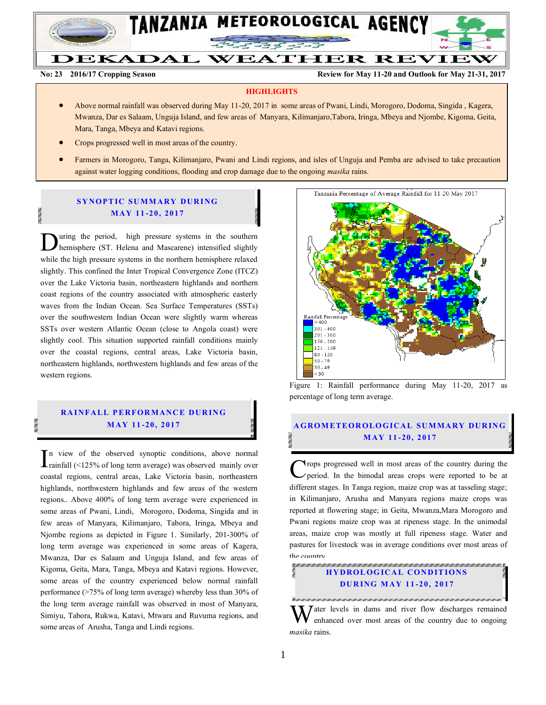

DEKADAL WEATHER REVIEW

**No: 23 2016/17 Cropping Season Review for May 11-20 and Outlook for May 21-31, 2017**

#### **HIGHLIGHTS**

- Above normal rainfall was observed during May 11-20, 2017 in some areas of Pwani, Lindi, Morogoro, Dodoma, Singida , Kagera, Mwanza, Dar es Salaam, Unguja Island, and few areas of Manyara, Kilimanjaro,Tabora, Iringa, Mbeya and Njombe, Kigoma, Geita, Mara, Tanga, Mbeya and Katavi regions.
- Crops progressed well in most areas of the country.
- Farmers in Morogoro, Tanga, Kilimanjaro, Pwani and Lindi regions, and isles of Unguja and Pemba are advised to take precaution against water logging conditions, flooding and crop damage due to the ongoing *masika* rains.

#### **SYNOPTIC SUMMARY DURING M AY 11 -20, 2017**

uring the period, high pressure systems in the southern hemisphere (ST. Helena and Mascarene) intensified slightly **D**uring the period, high pressure systems in the southern hemisphere (ST. Helena and Mascarene) intensified slightly while the high pressure systems in the northern hemisphere relaxed slightly. This confined the Inter Tropical Convergence Zone (ITCZ) over the Lake Victoria basin, northeastern highlands and northern coast regions of the country associated with atmospheric easterly waves from the Indian Ocean. Sea Surface Temperatures (SSTs) over the southwestern Indian Ocean were slightly warm whereas SSTs over western Atlantic Ocean (close to Angola coast) were slightly cool. This situation supported rainfall conditions mainly over the coastal regions, central areas, Lake Victoria basin, northeastern highlands, northwestern highlands and few areas of the western regions.

# **RAINFALL PERFORMANCE DURING**

n view of the observed synoptic conditions, above normal rainfall (<125% of long term average) was observed mainly over coastal regions, central areas, Lake Victoria basin, northeastern highlands, northwestern highlands and few areas of the western regions.. Above 400% of long term average were experienced in some areas of Pwani, Lindi, Morogoro, Dodoma, Singida and in few areas of Manyara, Kilimanjaro, Tabora, Iringa, Mbeya and Njombe regions as depicted in Figure 1. Similarly, 201-300% of long term average was experienced in some areas of Kagera, Mwanza, Dar es Salaam and Unguja Island, and few areas of Kigoma, Geita, Mara, Tanga, Mbeya and Katavi regions. However, some areas of the country experienced below normal rainfall performance (>75% of long term average) whereby less than 30% of the long term average rainfall was observed in most of Manyara, Simiyu, Tabora, Rukwa, Katavi, Mtwara and Ruvuma regions, and some areas of Arusha, Tanga and Lindi regions.  $\sum_{\text{rainfall}}$  view of the observed synoptic conditions, above normal<br>cannot example that the synoptic conditions, above normal<br>coastal regions, central areas, Lake Victoria basin, northeastern



Figure 1: Rainfall performance during May 11-20, 2017 as percentage of long term average.

# **MAY 11-20, 2017 AGROMETEOROLOGICAL SUMMARY DURING M AY 11 -20, 2017**

rops progressed well in most areas of the country during the period. In the bimodal areas crops were reported to be at different stages. In Tanga region, maize crop was at tasseling stage; in Kilimanjaro, Arusha and Manyara regions maize crops was reported at flowering stage; in Geita, Mwanza,Mara Morogoro and Pwani regions maize crop was at ripeness stage. In the unimodal areas, maize crop was mostly at full ripeness stage. Water and pastures for livestock was in average conditions over most areas of the country.

# **HYDROLOGICAL CONDITIONS DU R ING M AY 11 -20, 201 7**

TEMPER TEMPERANTE NEUER TEMPERANTE DE MANAGERIA (PER CARDIO DE MANAGERIA) NEUERO

W  $\tau$  ater levels in dams and river flow discharges remained enhanced over most areas of the country due to ongoing *masika* rains.

an an an an an a